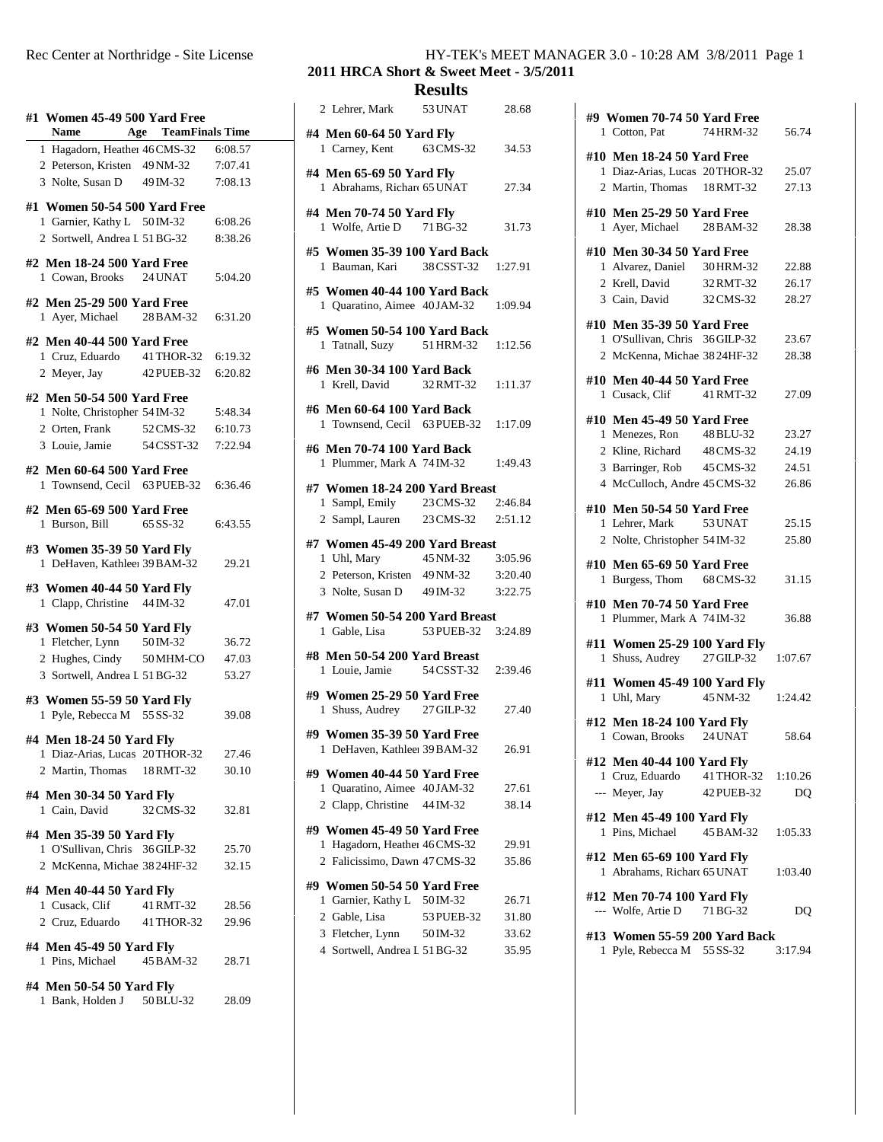| #1 Women 45-49 500 Yard Free<br>Name  | Age TeamFinals Time |         |
|---------------------------------------|---------------------|---------|
| 1 Hagadorn, Heather 46 CMS-32 6:08.57 |                     |         |
| 2 Peterson, Kristen 49 NM-32          |                     |         |
|                                       |                     | 7:07.41 |
| 3 Nolte, Susan D $49 \text{ IM}-32$   |                     | 7:08.13 |
| #1 Women 50-54 500 Yard Free          |                     |         |
|                                       |                     |         |
| 1 Garnier, Kathy L 50 IM-32           |                     | 6:08.26 |
| 2 Sortwell, Andrea L 51 BG-32         |                     | 8:38.26 |
|                                       |                     |         |
| #2 Men 18-24 500 Yard Free            |                     |         |
| 1 Cowan, Brooks 24 UNAT               |                     | 5:04.20 |
| #2 Men 25-29 500 Yard Free            |                     |         |
|                                       |                     |         |
| 1 Ayer, Michael 28 BAM-32             |                     | 6:31.20 |
| #2 Men 40-44 500 Yard Free            |                     |         |
|                                       |                     |         |
| 1 Cruz, Eduardo 41 THOR-32 6:19.32    |                     |         |
| 2 Meyer, Jay                          | 42 PUEB-32          | 6:20.82 |
| #2 Men 50-54 500 Yard Free            |                     |         |
|                                       |                     |         |
| 1 Nolte, Christopher 54 IM-32         |                     | 5:48.34 |
| 2 Orten, Frank 52 CMS-32              |                     | 6:10.73 |
| 3 Louie, Jamie 54 CSST-32             |                     | 7:22.94 |
|                                       |                     |         |
| #2 Men 60-64 500 Yard Free            |                     |         |
| 1 Townsend, Cecil 63 PUEB-32 6:36.46  |                     |         |
|                                       |                     |         |
| #2 Men 65-69 500 Yard Free            |                     |         |
| 1 Burson, Bill                        | 65 SS-32            | 6:43.55 |
|                                       |                     |         |
| #3 Women 35-39 50 Yard Fly            |                     |         |
| 1 DeHaven, Kathlee: 39 BAM-32         |                     | 29.21   |
|                                       |                     |         |
| #3 Women 40-44 50 Yard Fly            |                     |         |
| 1 Clapp, Christine 44 IM-32           |                     | 47.01   |
|                                       |                     |         |
| #3 Women 50-54 50 Yard Fly            |                     |         |
| 1 Fletcher, Lynn 50 IM-32             |                     | 36.72   |
| 2 Hughes, Cindy 50 MHM-CO             |                     | 47.03   |
| 3 Sortwell, Andrea I 51 BG-32         |                     | 53.27   |
|                                       |                     |         |
| #3 Women 55-59 50 Yard Fly            |                     |         |
| 1 Pyle, Rebecca M 55 SS-32            |                     | 39.08   |
|                                       |                     |         |
| #4 Men 18-24 50 Yard Fly              |                     |         |
| 1 Diaz-Arias, Lucas 20THOR-32         |                     | 27.46   |
|                                       |                     |         |
| 2 Martin, Thomas 18 RMT-32            |                     | 30.10   |
|                                       |                     |         |
| #4 Men 30-34 50 Yard Fly              |                     |         |
| 1 Cain, David                         | 32 CMS-32           | 32.81   |
| #4 Men 35-39 50 Yard Fly              |                     |         |
|                                       |                     |         |
| 1 O'Sullivan, Chris 36 GILP-32        |                     | 25.70   |
| 2 McKenna, Michae 3824HF-32           |                     | 32.15   |
|                                       |                     |         |
| #4 Men 40-44 50 Yard Fly              |                     |         |
| 1 Cusack, Clif                        | 41 RMT-32           | 28.56   |
| 2 Cruz, Eduardo 41 THOR-32            |                     | 29.96   |
|                                       |                     |         |
| #4 Men 45-49 50 Yard Fly              |                     |         |
| 1 Pins, Michael                       | 45 BAM-32           | 28.71   |
|                                       |                     |         |
| #4 Men 50-54 50 Yard Fly              |                     |         |
| 1 Bank, Holden J 50 BLU-32            |                     | 28.09   |

## Rec Center at Northridge - Site License HY-TEK's MEET MANAGER 3.0 - 10:28 AM 3/8/2011 Page 1

**2011 HRCA Short & Sweet Meet - 3/5/2011 Results**

| 2 Lehrer, Mark                                               | 53 UNAT            | 28.68   |
|--------------------------------------------------------------|--------------------|---------|
| #4 Men 60-64 50 Yard Fly                                     |                    |         |
| 1 Carney, Kent 63 CMS-32 34.53                               |                    |         |
| #4 Men 65-69 50 Yard Fly                                     |                    |         |
| 1 Abrahams, Richard 65 UNAT                                  |                    | 27.34   |
| #4 Men 70-74 50 Yard Fly                                     |                    |         |
| 1 Wolfe, Artie D 71 BG-32                                    |                    | 31.73   |
| #5 Women 35-39 100 Yard Back                                 |                    |         |
| 1 Bauman, Kari 38 CSST-32 1:27.91                            |                    |         |
| #5 Women 40-44 100 Yard Back                                 |                    |         |
| 1 Quaratino, Aimee 40 JAM-32 1:09.94                         |                    |         |
|                                                              |                    |         |
| #5 Women 50-54 100 Yard Back<br>1 Tatnall, Suzy              | 51 HRM-32          | 1:12.56 |
|                                                              |                    |         |
| #6 Men 30-34 100 Yard Back<br>1 Krell, David 32 RMT-32       |                    | 1:11.37 |
|                                                              |                    |         |
| #6 Men 60-64 100 Yard Back                                   |                    |         |
| 1 Townsend, Cecil 63 PUEB-32 1:17.09                         |                    |         |
| #6 Men 70-74 100 Yard Back                                   |                    |         |
| 1 Plummer, Mark A 74 IM-32 1:49.43                           |                    |         |
| #7 Women 18-24 200 Yard Breast                               |                    |         |
| 1 Sampl, Emily 23 CMS-32 2:46.84                             |                    |         |
| 2 Sampl, Lauren 23 CMS-32 2:51.12                            |                    |         |
| #7 Women 45-49 200 Yard Breast                               |                    |         |
| 1 Uhl, Mary                                                  | 45 NM-32 3:05.96   |         |
| 2 Peterson, Kristen 49 NM-32 3:20.40                         |                    |         |
| 3 Nolte, Susan D 49 IM-32                                    |                    | 3:22.75 |
| #7 Women 50-54 200 Yard Breast                               |                    |         |
| 1 Gable, Lisa                                                | 53 PUEB-32 3:24.89 |         |
| #8 Men 50-54 200 Yard Breast                                 |                    |         |
| 1 Louie, Jamie 54 CSST-32 2:39.46                            |                    |         |
| #9 Women 25-29 50 Yard Free                                  |                    |         |
| 1 Shuss, Audrey 27 GILP-32                                   |                    | 27.40   |
| #9 Women 35-39 50 Yard Free                                  |                    |         |
| 1 DeHaven, Kathleer 39 BAM-32                                |                    | 26.91   |
|                                                              |                    |         |
| #9 Women 40-44 50 Yard Free<br>1 Quaratino, Aimee 40 JAM-32  |                    | 27.61   |
| 2 Clapp, Christine 44 IM-32                                  |                    | 38.14   |
|                                                              |                    |         |
| #9 Women 45-49 50 Yard Free<br>1 Hagadorn, Heather 46 CMS-32 |                    | 29.91   |
| 2 Falicissimo, Dawn 47 CMS-32                                |                    | 35.86   |
|                                                              |                    |         |
| #9 Women 50-54 50 Yard Free<br>1 Garnier, Kathy L            | 50 IM-32           | 26.71   |
| 2 Gable, Lisa                                                | 53 PUEB-32         | 31.80   |
| 3 Fletcher, Lynn                                             | 50 IM-32           | 33.62   |
|                                                              |                    |         |

4 Sortwell, Andrea L 51BG-32 35.95

| #9 Women 70-74 50 Yard Free                               |                  |         |  |
|-----------------------------------------------------------|------------------|---------|--|
| 1 Cotton, Pat                                             | 74 HRM-32        | 56.74   |  |
| #10 Men 18-24 50 Yard Free                                |                  |         |  |
| 1 Diaz-Arias, Lucas 20THOR-32                             |                  | 25.07   |  |
| 2 Martin, Thomas 18 RMT-32                                |                  | 27.13   |  |
| #10 Men 25-29 50 Yard Free<br>1 Ayer, Michael             | 28 BAM-32        | 28.38   |  |
| #10 Men 30-34 50 Yard Free                                |                  |         |  |
| 1 Alvarez, Daniel 30HRM-32                                |                  | 22.88   |  |
| 2 Krell, David 32RMT-32                                   |                  | 26.17   |  |
| 3 Cain, David                                             | 32 CMS-32        | 28.27   |  |
| #10 Men 35-39 50 Yard Free                                |                  |         |  |
| 1 O'Sullivan, Chris 36GILP-32                             |                  | 23.67   |  |
| 2 McKenna, Michae 3824HF-32                               |                  | 28.38   |  |
|                                                           |                  |         |  |
| #10 Men 40-44 50 Yard Free                                |                  |         |  |
| 1 Cusack, Clif 41 RMT-32                                  |                  | 27.09   |  |
| #10 Men 45-49 50 Yard Free                                |                  |         |  |
| 1 Menezes, Ron                                            | 48BLU-32         | 23.27   |  |
| 2 Kline, Richard                                          | 48 CMS-32        | 24.19   |  |
| 3 Barringer, Rob 45 CMS-32                                |                  | 24.51   |  |
| 4 McCulloch, Andre 45 CMS-32                              |                  | 26.86   |  |
| #10 Men 50-54 50 Yard Free                                |                  |         |  |
| 1 Lehrer, Mark                                            | 53 UNAT          | 25.15   |  |
| 2 Nolte, Christopher 54 IM-32                             |                  | 25.80   |  |
|                                                           |                  |         |  |
| #10 Men 65-69 50 Yard Free<br>1 Burgess, Thom 68 CMS-32   |                  | 31.15   |  |
|                                                           |                  |         |  |
| #10 Men 70-74 50 Yard Free                                |                  |         |  |
| 1 Plummer, Mark A 74 IM-32                                |                  | 36.88   |  |
| #11 Women 25-29 100 Yard Fly                              |                  |         |  |
| 1 Shuss, Audrey 27 GILP-32                                |                  | 1:07.67 |  |
| #11 Women 45-49 100 Yard Fly                              |                  |         |  |
| 1 Uhl, Mary                                               | 45 NM-32 1:24.42 |         |  |
|                                                           |                  |         |  |
| #12 Men 18-24 100 Yard Fly                                |                  |         |  |
| 1 Cowan, Brooks                                           | 24 UNAT          | 58.64   |  |
| #12 Men 40-44 100 Yard Fly                                |                  |         |  |
| 1 Cruz, Eduardo 41 THOR-32                                |                  | 1:10.26 |  |
| --- Meyer, Jay                                            | 42 PUEB-32       | DQ      |  |
| #12 Men 45-49 100 Yard Fly                                |                  |         |  |
| 1 Pins, Michael                                           | 45 BAM-32        | 1:05.33 |  |
|                                                           |                  |         |  |
| #12 Men 65-69 100 Yard Fly<br>1 Abrahams, Richard 65 UNAT |                  | 1:03.40 |  |
|                                                           |                  |         |  |
| #12 Men 70-74 100 Yard Fly                                |                  |         |  |

| --- Wolfe, Artie D            | 71 BG-32 | DO.     |
|-------------------------------|----------|---------|
| #13 Women 55-59 200 Yard Back |          |         |
| 1 Pyle, Rebecca M 55 SS-32    |          | 3:17.94 |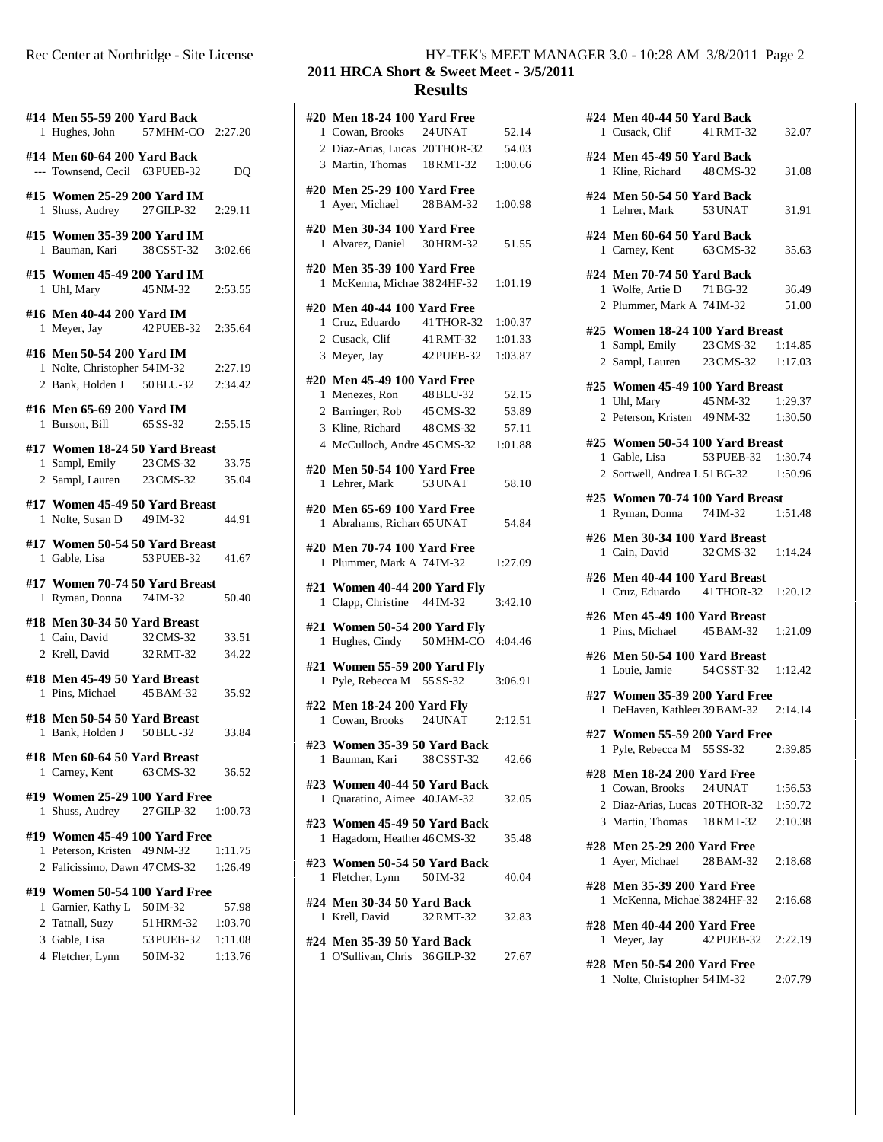|   | #14 Men 55-59 200 Yard Back<br>1 Hughes, John 57 MHM-CO 2:27.20                             |                        |                    | #      |
|---|---------------------------------------------------------------------------------------------|------------------------|--------------------|--------|
|   | #14 Men 60-64 200 Yard Back<br>--- Townsend, Cecil 63 PUEB-32                               |                        | D <sub>O</sub>     |        |
|   | #15 Women 25-29 200 Yard IM<br>1 Shuss, Audrey 27 GILP-32 2:29.11                           |                        |                    | #      |
|   | #15 Women 35-39 200 Yard IM<br>1 Bauman, Kari 38 CSST-32                                    |                        | 3:02.66            | #      |
|   | #15 Women 45-49 200 Yard IM<br>1 Uhl, Mary                                                  | 45 NM-32               | 2:53.55            | #      |
|   | #16 Men 40-44 200 Yard IM<br>1 Meyer, Jay 42 PUEB-32 2:35.64                                |                        |                    | #      |
|   | #16 Men 50-54 200 Yard IM<br>1 Nolte, Christopher 54 IM-32<br>2 Bank, Holden J 50 BLU-32    |                        | 2:27.19<br>2:34.42 | #      |
|   | #16 Men 65-69 200 Yard IM<br>1 Burson, Bill 65 SS-32 2:55.15                                |                        |                    |        |
|   | #17 Women 18-24 50 Yard Breast<br>1 Sampl, Emily 23 CMS-32<br>$2$ Sampl, Lauren $23$ CMS-32 |                        | 33.75<br>35.04     | #      |
|   | #17 Women 45-49 50 Yard Breast<br>1 Nolte, Susan D 49 IM-32                                 |                        | 44.91              | #      |
|   | #17 Women 50-54 50 Yard Breast                                                              |                        |                    | #      |
|   | 1 Gable, Lisa                                                                               | 53 PUEB-32             | 41.67              |        |
|   | #17 Women 70-74 50 Yard Breast<br>1 Ryman, Donna 74 IM-32                                   |                        | 50.40              | #      |
|   | #18 Men 30-34 50 Yard Breast<br>1 Cain, David 32 CMS-32<br>2 Krell, David                   | 32 RMT-32              | 33.51<br>34.22     | #      |
|   | #18 Men 45-49 50 Yard Breast<br>1 Pins, Michael 45 BAM-32                                   |                        | 35.92              | #      |
|   | #18 Men 50-54 50 Yard Breast<br>1 Bank, Holden J 50 BLU-32                                  |                        | 33.84              | #      |
|   | #18 Men 60-64 50 Yard Breast<br>1 Carney, Kent                                              | 63 CMS-32              | 36.52              | #      |
| 1 | #19 Women 25-29 100 Yard Free<br>Shuss, Audrey                                              | 27 GILP-32             | 1:00.73            | #      |
|   | #19 Women 45-49 100 Yard Free<br>1 Peterson, Kristen 49 NM-32                               |                        | 1:11.75            | #<br># |
|   | 2 Falicissimo, Dawn 47 CMS-32<br>#19 Women 50-54 100 Yard Free                              |                        | 1:26.49            |        |
|   | 1 Garnier, Kathy L 50 IM-32                                                                 |                        | 57.98              | #      |
|   | 2 Tatnall, Suzy                                                                             | 51 HRM-32              | 1:03.70            |        |
|   | 3 Gable, Lisa<br>4 Fletcher, Lynn                                                           | 53 PUEB-32<br>50 IM-32 | 1:11.08<br>1:13.76 | #      |

## Rec Center at Northridge - Site License HY-TEK's MEET MANAGER 3.0 - 10:28 AM 3/8/2011 Page 2

## **2011 HRCA Short & Sweet Meet - 3/5/2011 Results**

|    | #20 Men 18-24 100 Yard Free                                 |            |         |
|----|-------------------------------------------------------------|------------|---------|
|    | 1 Cowan, Brooks 24 UNAT                                     |            | 52.14   |
|    | 2 Diaz-Arias, Lucas 20THOR-32                               |            | 54.03   |
|    | 3 Martin, Thomas 18 RMT-32                                  |            | 1:00.66 |
|    | #20 Men 25-29 100 Yard Free                                 |            |         |
|    | 1 Ayer, Michael 28 BAM-32                                   |            | 1:00.98 |
|    |                                                             |            |         |
|    | #20 Men 30-34 100 Yard Free<br>1 Alvarez, Daniel 30 HRM-32  |            |         |
|    |                                                             |            | 51.55   |
|    | #20 Men 35-39 100 Yard Free                                 |            |         |
|    | 1 McKenna, Michae 3824HF-32                                 |            | 1:01.19 |
|    | #20 Men 40-44 100 Yard Free                                 |            |         |
|    | 1 Cruz, Eduardo 41 THOR-32                                  |            | 1:00.37 |
|    | 2 Cusack, Clif 41 RMT-32                                    |            | 1:01.33 |
|    | 3 Meyer, Jay                                                | 42 PUEB-32 | 1:03.87 |
|    |                                                             |            |         |
|    | #20 Men 45-49 100 Yard Free<br>1 Menezes, Ron               | 48 BLU-32  | 52.15   |
|    | 2 Barringer, Rob 45 CMS-32                                  |            | 53.89   |
|    | 3 Kline, Richard                                            | 48 CMS-32  | 57.11   |
|    | 4 McCulloch, Andre 45 CMS-32                                |            | 1:01.88 |
|    |                                                             |            |         |
|    | #20 Men 50-54 100 Yard Free                                 |            |         |
|    | 1 Lehrer, Mark 53 UNAT                                      |            | 58.10   |
|    | #20 Men 65-69 100 Yard Free                                 |            |         |
|    | 1 Abrahams, Richard 65 UNAT                                 |            | 54.84   |
|    | #20 Men 70-74 100 Yard Free                                 |            |         |
|    | 1 Plummer, Mark A 74 IM-32                                  |            | 1:27.09 |
|    |                                                             |            |         |
|    | #21 Women 40-44 200 Yard Fly<br>1 Clapp, Christine 44 IM-32 |            | 3:42.10 |
|    |                                                             |            |         |
|    | #21 Women 50-54 200 Yard Fly                                |            |         |
|    | 1 Hughes, Cindy 50 MHM-CO 4:04.46                           |            |         |
|    | #21 Women 55-59 200 Yard Fly                                |            |         |
|    | 1 Pyle, Rebecca M 55 SS-32                                  |            | 3:06.91 |
|    | #22 Men 18-24 200 Yard Fly                                  |            |         |
|    | 1 Cowan, Brooks 24 UNAT                                     |            | 2:12.51 |
|    |                                                             |            |         |
|    | #23 Women 35-39 50 Yard Back                                |            |         |
| 1  | Bauman, Kari                                                | 38 CSST-32 | 42.66   |
|    | #23 Women 40-44 50 Yard Back                                |            |         |
|    | 1 Quaratino, Aimee 40 JAM-32                                |            | 32.05   |
|    | #23 Women 45-49 50 Yard Back                                |            |         |
| 1. | Hagadorn, Heather 46 CMS-32                                 |            | 35.48   |
|    |                                                             |            |         |
|    | #23 Women 50-54 50 Yard Back<br>1 Fletcher, Lynn            | 50 IM-32   | 40.04   |
|    |                                                             |            |         |
|    | #24 Men 30-34 50 Yard Back                                  |            |         |
|    | 1 Krell, David                                              | 32 RMT-32  | 32.83   |
|    | #24 Men 35-39 50 Yard Back                                  |            |         |
|    |                                                             |            |         |
|    | 1 O'Sullivan, Chris 36 GILP-32                              |            | 27.67   |

|   | #24 Men 40-44 50 Yard Back<br>1 Cusack, Clif 41 RMT-32                 |                   | 32.07   |
|---|------------------------------------------------------------------------|-------------------|---------|
|   | #24 Men 45-49 50 Yard Back<br>1 Kline, Richard 48 CMS-32               |                   | 31.08   |
|   | #24 Men 50-54 50 Yard Back<br>1 Lehrer, Mark                           | 53 UNAT           | 31.91   |
|   | #24 Men 60-64 50 Yard Back<br>1 Carney, Kent 63 CMS-32                 |                   | 35.63   |
|   | #24 Men 70-74 50 Yard Back<br>1 Wolfe, Artie D 71 BG-32                |                   | 36.49   |
|   | 2 Plummer, Mark A 74 IM-32                                             |                   | 51.00   |
|   | #25 Women 18-24 100 Yard Breast                                        |                   |         |
|   | 1 Sampl, Emily                                                         | 23 CMS-32         | 1:14.85 |
|   | 2 Sampl, Lauren 23 CMS-32 1:17.03                                      |                   |         |
|   | #25 Women 45-49 100 Yard Breast                                        |                   |         |
|   | 1 Uhl, Mary                                                            | 45 NM-32          | 1:29.37 |
|   | 2 Peterson, Kristen 49NM-32                                            |                   | 1:30.50 |
|   | #25 Women 50-54 100 Yard Breast                                        |                   |         |
|   | 1 Gable, Lisa 53 PUEB-32 1:30.74                                       |                   |         |
|   | 2 Sortwell, Andrea L 51 BG-32 1:50.96                                  |                   |         |
|   | #25 Women 70-74 100 Yard Breast<br>1 Ryman, Donna 74 IM-32             |                   | 1:51.48 |
|   | #26 Men 30-34 100 Yard Breast<br>1 Cain, David                         | 32 CMS-32 1:14.24 |         |
|   | #26 Men 40-44 100 Yard Breast<br>1 Cruz, Eduardo 41 THOR-32            |                   | 1:20.12 |
|   | #26 Men 45-49 100 Yard Breast<br>1 Pins, Michael 45 BAM-32 1:21.09     |                   |         |
|   | #26 Men 50-54 100 Yard Breast<br>1 Louie, Jamie 54 CSST-32 1:12.42     |                   |         |
|   | #27 Women 35-39 200 Yard Free<br>1 DeHaven, Kathleer 39 BAM-32 2:14.14 |                   |         |
| 1 | #27 Women 55-59 200 Yard Free<br>Pyle, Rebecca M 55 SS-32              |                   | 2:39.85 |
|   | #28 Men 18-24 200 Yard Free                                            |                   |         |
|   | 1 Cowan, Brooks                                                        | 24 UNAT           | 1:56.53 |
|   | 2 Diaz-Arias, Lucas 20THOR-32 1:59.72                                  |                   |         |
|   | 3 Martin, Thomas 18 RMT-32                                             |                   | 2:10.38 |
|   | #28 Men 25-29 200 Yard Free<br>1 Ayer, Michael 28 BAM-32               |                   | 2:18.68 |
|   | #28 Men 35-39 200 Yard Free<br>1 McKenna, Michae 3824HF-32             |                   | 2:16.68 |
|   | #28 Men 40-44 200 Yard Free<br>1 Meyer, Jay                            | 42 PUEB-32        | 2:22.19 |
|   | #28 Men 50-54 200 Yard Free<br>1 Nolte, Christopher 54 IM-32           |                   | 2:07.79 |